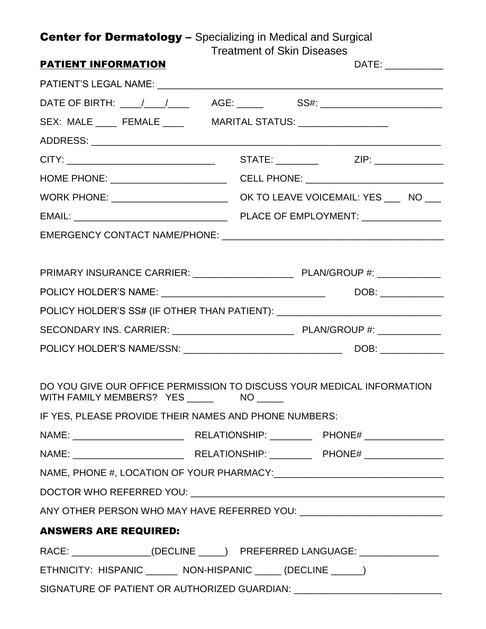## Center for Dermatology - Specializing in Medical and Surgical

Treatment of Skin Diseases

| <b>PATIENT INFORMATION</b>                                      | DATE:                                                                            |
|-----------------------------------------------------------------|----------------------------------------------------------------------------------|
|                                                                 |                                                                                  |
|                                                                 | DATE OF BIRTH: ____/____/______  AGE: ______   SS#: ____________________________ |
| SEX: MALE _____ FEMALE _____ MARITAL STATUS: __________________ |                                                                                  |
|                                                                 |                                                                                  |
|                                                                 |                                                                                  |
|                                                                 |                                                                                  |
|                                                                 |                                                                                  |
|                                                                 |                                                                                  |
|                                                                 |                                                                                  |
|                                                                 |                                                                                  |
|                                                                 |                                                                                  |
|                                                                 |                                                                                  |
|                                                                 | POLICY HOLDER'S SS# (IF OTHER THAN PATIENT): ___________________________________ |
|                                                                 |                                                                                  |
|                                                                 |                                                                                  |
|                                                                 |                                                                                  |
|                                                                 | DO YOU GIVE OUR OFFICE PERMISSION TO DISCUSS YOUR MEDICAL INFORMATION            |
| IF YES, PLEASE PROVIDE THEIR NAMES AND PHONE NUMBERS:           |                                                                                  |
|                                                                 |                                                                                  |
|                                                                 |                                                                                  |
|                                                                 |                                                                                  |
|                                                                 |                                                                                  |
|                                                                 |                                                                                  |
| <b>ANSWERS ARE REQUIRED:</b>                                    |                                                                                  |
|                                                                 | RACE: ________________(DECLINE _____) PREFERRED LANGUAGE: ________________       |
| ETHNICITY: HISPANIC _______ NON-HISPANIC _____ (DECLINE _____)  |                                                                                  |
|                                                                 | SIGNATURE OF PATIENT OR AUTHORIZED GUARDIAN: ___________________________________ |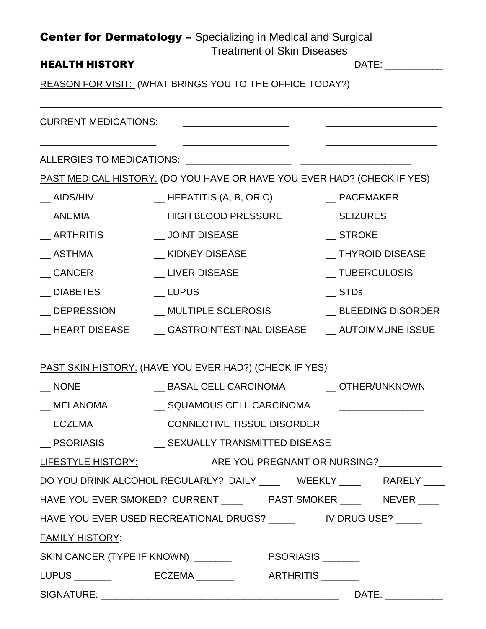|                                                                 | <b>Center for Dermatology</b> - Specializing in Medical and Surgical<br><b>Treatment of Skin Diseases</b> |                        |
|-----------------------------------------------------------------|-----------------------------------------------------------------------------------------------------------|------------------------|
| <b>HEALTH HISTORY</b>                                           |                                                                                                           | DATE: ____________     |
| <b>REASON FOR VISIT: (WHAT BRINGS YOU TO THE OFFICE TODAY?)</b> |                                                                                                           |                        |
| <b>CURRENT MEDICATIONS:</b>                                     |                                                                                                           |                        |
|                                                                 |                                                                                                           |                        |
|                                                                 | PAST MEDICAL HISTORY: (DO YOU HAVE OR HAVE YOU EVER HAD? (CHECK IF YES)                                   |                        |
| AIDS/HIV                                                        | $\_$ HEPATITIS (A, B, OR C)                                                                               | __ PACEMAKER           |
| ANEMIA                                                          | HIGH BLOOD PRESSURE                                                                                       | <b>SEIZURES</b>        |
| ARTHRITIS                                                       | <b>JOINT DISEASE</b>                                                                                      | <b>STROKE</b>          |
| ASTHMA                                                          | _ KIDNEY DISEASE                                                                                          | <b>THYROID DISEASE</b> |
| <b>CANCER</b>                                                   | __ LIVER DISEASE                                                                                          | _ TUBERCULOSIS         |
| <b>DIABETES</b>                                                 | <b>LUPUS</b>                                                                                              | STDs                   |
| $\_$ DEPRESSION                                                 | __ MULTIPLE SCLEROSIS                                                                                     | __ BLEEDING DISORDER   |
|                                                                 | __ HEART DISEASE ______ GASTROINTESTINAL DISEASE _____ AUTOIMMUNE ISSUE                                   |                        |
|                                                                 | <b>PAST SKIN HISTORY: (HAVE YOU EVER HAD?) (CHECK IF YES)</b>                                             |                        |
|                                                                 |                                                                                                           |                        |
|                                                                 | __ MELANOMA ___________ SQUAMOUS CELL CARCINOMA _____________________                                     |                        |
|                                                                 | _ ECZEMA ______________ CONNECTIVE TISSUE DISORDER                                                        |                        |
| _ PSORIASIS ___________ SEXUALLY TRANSMITTED DISEASE            |                                                                                                           |                        |
|                                                                 | LIFESTYLE HISTORY: ARE YOU PREGNANT OR NURSING?                                                           |                        |
|                                                                 | DO YOU DRINK ALCOHOL REGULARLY? DAILY ______ WEEKLY _____ RARELY ____                                     |                        |
|                                                                 |                                                                                                           |                        |
|                                                                 |                                                                                                           |                        |
| <b>FAMILY HISTORY:</b>                                          |                                                                                                           |                        |
|                                                                 |                                                                                                           |                        |
|                                                                 |                                                                                                           |                        |
|                                                                 |                                                                                                           |                        |